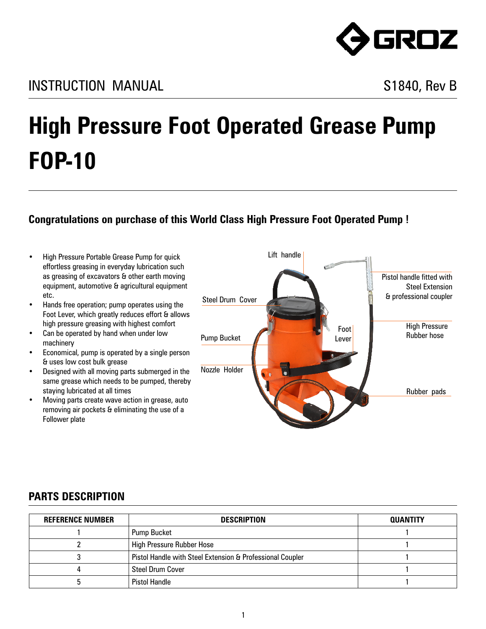

## **High Pressure Foot Operated Grease Pump FOP-10**

## **Congratulations on purchase of this World Class High Pressure Foot Operated Pump !**

- • High Pressure Portable Grease Pump for quick effortless greasing in everyday lubrication such as greasing of excavators & other earth moving equipment, automotive & agricultural equipment etc.
- Hands free operation; pump operates using the Foot Lever, which greatly reduces effort & allows high pressure greasing with highest comfort
- Can be operated by hand when under low machinery
- Economical, pump is operated by a single person & uses low cost bulk grease
- Designed with all moving parts submerged in the same grease which needs to be pumped, thereby staying lubricated at all times
- Moving parts create wave action in grease, auto removing air pockets & eliminating the use of a Follower plate



## **PARTS DESCRIPTION**

| <b>REFERENCE NUMBER</b> | <b>DESCRIPTION</b>                                        | QUANTITY |
|-------------------------|-----------------------------------------------------------|----------|
|                         | <b>Pump Bucket</b>                                        |          |
|                         | <b>High Pressure Rubber Hose</b>                          |          |
|                         | Pistol Handle with Steel Extension & Professional Coupler |          |
|                         | <b>Steel Drum Cover</b>                                   |          |
|                         | <b>Pistol Handle</b>                                      |          |